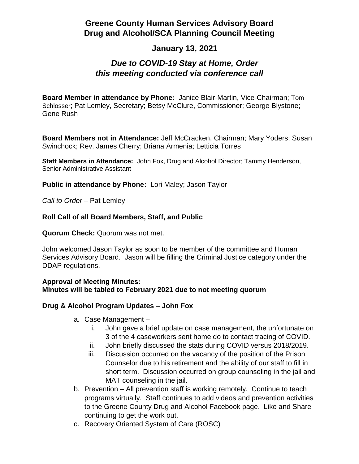# **Greene County Human Services Advisory Board Drug and Alcohol/SCA Planning Council Meeting**

## **January 13, 2021**

## *Due to COVID-19 Stay at Home, Order this meeting conducted via conference call*

**Board Member in attendance by Phone:** Janice Blair-Martin, Vice-Chairman; Tom Schlosser; Pat Lemley, Secretary; Betsy McClure, Commissioner; George Blystone; Gene Rush

**Board Members not in Attendance:** Jeff McCracken, Chairman; Mary Yoders; Susan Swinchock; Rev. James Cherry; Briana Armenia; Letticia Torres

**Staff Members in Attendance:** John Fox, Drug and Alcohol Director; Tammy Henderson, Senior Administrative Assistant

**Public in attendance by Phone:** Lori Maley; Jason Taylor

Call to Order - Pat Lemley

### **Roll Call of all Board Members, Staff, and Public**

**Quorum Check:** Quorum was not met.

John welcomed Jason Taylor as soon to be member of the committee and Human Services Advisory Board. Jason will be filling the Criminal Justice category under the DDAP regulations.

#### **Approval of Meeting Minutes: Minutes will be tabled to February 2021 due to not meeting quorum**

#### **Drug & Alcohol Program Updates – John Fox**

- a. Case Management
	- i. John gave a brief update on case management, the unfortunate on 3 of the 4 caseworkers sent home do to contact tracing of COVID.
	- ii. John briefly discussed the stats during COVID versus 2018/2019.
	- iii. Discussion occurred on the vacancy of the position of the Prison Counselor due to his retirement and the ability of our staff to fill in short term. Discussion occurred on group counseling in the jail and MAT counseling in the jail.
- b. Prevention All prevention staff is working remotely. Continue to teach programs virtually. Staff continues to add videos and prevention activities to the Greene County Drug and Alcohol Facebook page. Like and Share continuing to get the work out.
- c. Recovery Oriented System of Care (ROSC)